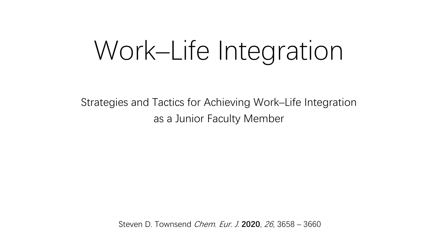# Work–Life Integration

Strategies and Tactics for Achieving Work–Life Integration as a Junior Faculty Member

Steven D. Townsend Chem. Eur. J. **2020**, 26, 3658 – 3660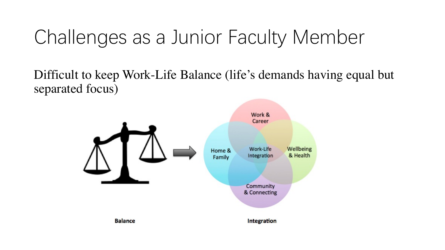## Challenges as a Junior Faculty Member

Difficult to keep Work-Life Balance (life's demands having equal but separated focus)

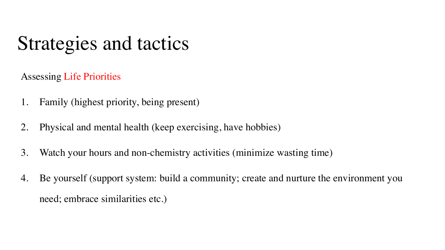### Strategies and tactics

Assessing Life Priorities

- 1. Family (highest priority, being present)
- 2. Physical and mental health (keep exercising, have hobbies)
- 3. Watch your hours and non-chemistry activities (minimize wasting time)
- 4. Be yourself (support system: build a community; create and nurture the environment you need; embrace similarities etc.)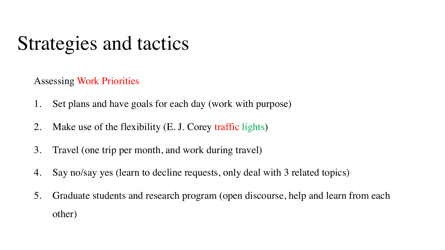### Strategies and tactics

Assessing Work Priorities

- 1. Set plans and have goals for each day (work with purpose)
- 2. Make use of the flexibility (E. J. Corey traffic lights)
- 3. Travel (one trip per month, and work during travel)
- 4. Say no/say yes (learn to decline requests, only deal with 3 related topics)
- 5. Graduate students and research program (open discourse, help and learn from each other)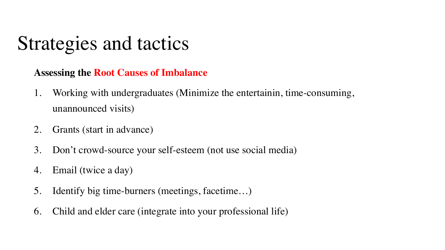### Strategies and tactics

#### **Assessing the Root Causes of Imbalance**

- 1. Working with undergraduates (Minimize the entertainin, time-consuming, unannounced visits)
- 2. Grants (start in advance)
- 3. Don't crowd-source your self-esteem (not use social media)
- 4. Email (twice a day)
- 5. Identify big time-burners (meetings, facetime…)
- 6. Child and elder care (integrate into your professional life)